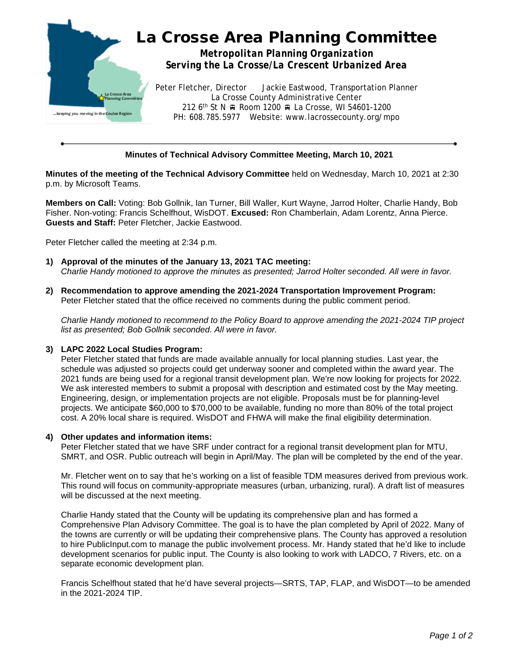

## **Minutes of Technical Advisory Committee Meeting, March 10, 2021**

**Minutes of the meeting of the Technical Advisory Committee** held on Wednesday, March 10, 2021 at 2:30 p.m. by Microsoft Teams.

**Members on Call:** Voting: Bob Gollnik, Ian Turner, Bill Waller, Kurt Wayne, Jarrod Holter, Charlie Handy, Bob Fisher. Non-voting: Francis Schelfhout, WisDOT. **Excused:** Ron Chamberlain, Adam Lorentz, Anna Pierce. **Guests and Staff:** Peter Fletcher, Jackie Eastwood.

Peter Fletcher called the meeting at 2:34 p.m.

- **1) Approval of the minutes of the January 13, 2021 TAC meeting:** *Charlie Handy motioned to approve the minutes as presented; Jarrod Holter seconded. All were in favor.*
- **2) Recommendation to approve amending the 2021-2024 Transportation Improvement Program:** Peter Fletcher stated that the office received no comments during the public comment period.

*Charlie Handy motioned to recommend to the Policy Board to approve amending the 2021-2024 TIP project list as presented; Bob Gollnik seconded. All were in favor.*

## **3) LAPC 2022 Local Studies Program:**

Peter Fletcher stated that funds are made available annually for local planning studies. Last year, the schedule was adjusted so projects could get underway sooner and completed within the award year. The 2021 funds are being used for a regional transit development plan. We're now looking for projects for 2022. We ask interested members to submit a proposal with description and estimated cost by the May meeting. Engineering, design, or implementation projects are not eligible. Proposals must be for planning-level projects. We anticipate \$60,000 to \$70,000 to be available, funding no more than 80% of the total project cost. A 20% local share is required. WisDOT and FHWA will make the final eligibility determination.

## **4) Other updates and information items:**

Peter Fletcher stated that we have SRF under contract for a regional transit development plan for MTU, SMRT, and OSR. Public outreach will begin in April/May. The plan will be completed by the end of the year.

Mr. Fletcher went on to say that he's working on a list of feasible TDM measures derived from previous work. This round will focus on community-appropriate measures (urban, urbanizing, rural). A draft list of measures will be discussed at the next meeting.

Charlie Handy stated that the County will be updating its comprehensive plan and has formed a Comprehensive Plan Advisory Committee. The goal is to have the plan completed by April of 2022. Many of the towns are currently or will be updating their comprehensive plans. The County has approved a resolution to hire PublicInput.com to manage the public involvement process. Mr. Handy stated that he'd like to include development scenarios for public input. The County is also looking to work with LADCO, 7 Rivers, etc. on a separate economic development plan.

Francis Schelfhout stated that he'd have several projects—SRTS, TAP, FLAP, and WisDOT—to be amended in the 2021-2024 TIP.